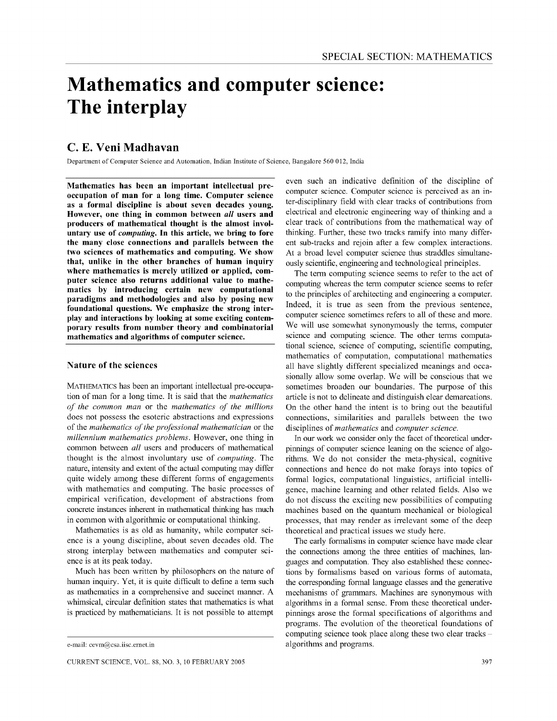# **Mathematics and computer science: The interplay**

# C. E. Veni Madhavan

Department of Computer Science and Automation, Indian Institute of Science, Bangalore 560 012, India

Mathematics has been an important intellectual preoccupation of man for a long time. Computer science as a formal discipline is about seven decades young. However, one thing in common between *all* users and producers of mathematical thought is the almost involuntary use of *computing.* **In** this article, we bring to fore the many close connections and parallels between the two sciences of mathematics and computing. We show that, unlike in the other branches of human inquiry where mathematics is merely utilized or applied, computer science also returns additional value to mathematics by introducing certain new computational paradigms and methodologies and also by posing new foundational questions. We emphasize the strong interplay and interactions by looking at some exciting contemporary results from number theory and combinatorial mathematics and algorithms of computer science.

# Nature of the sciences

MATHEMATICS has been an important intellectual pre-occupation of man for a long time, It is said that the *mathematics of the common man* or the *mathematics of the millions*  does not possess the esoteric abstractions and expressions of the *mathematics of the professional mathematician* or the *millennium mathematics problems,* However, one thing in common between *all* users and producers of mathematical thought is the almost involuntary use of *computing,* The nature, intensity and extent of the actual computing may differ quite widely among these different forms of engagements with mathematics and computing, The basic processes of empirical verification, development of abstractions from concrete instances inherent in mathematical thinking has much in common with algorithmic or computational thinking,

Mathematics is as old as humanity, while computer science is a young discipline, about seven decades old, The strong interplay between mathematics and computer science is at its peak today,

Much has been written by philosophers on the nature of human inquiry, Yet, it is quite difficult to define a term such as mathematics in a comprehensive and succinct manner, A whimsical, circular definition states that mathematics is what is practiced by mathematicians, It is not possible to attempt

even such an indicative definition of the discipline of computer science. Computer science is perceived as an inter-disciplinary field with clear tracks of contributions from electrical and electronic engineering way of thinking and a clear track of contributions from the mathematical way of thinking. Further, these two tracks ramify into many different sub-tracks and rejoin after a few complex interactions. At a broad level computer science thus straddles simultaneously scientific, engineering and technological principles.

The term computing science seems to refer to the act of computing whereas the term computer science seems to refer to the principles of architecting and engineering a computer, Indeed, it is true as seen from the previous sentence, computer science sometimes refers to all of these and more. We will use somewhat synonymously the terms, computer science and computing science. The other terms computational science, science of computing, scientific computing, mathematics of computation, computational mathematics all have slightly different specialized meanings and occasionally allow some overlap. We will be conscious that we sometimes broaden our boundaries. The purpose of this article is not to delineate and distinguish clear demarcations. On the other hand the intent is to bring out the beautiful connections, similarities and parallels between the two disciplines of *mathematics* and *computer science.* 

In our work we consider only the facet of theoretical underpinnings of computer science leaning on the science of algorithms. We do not consider the meta-physical, cognitive connections and hence do not make forays into topics of formal logics, computational linguistics, artificial intelligence, machine learning and other related fields. Also we do not discuss the exciting new possibilities of computing machines based on the quantum mechanical or biological processes, that may render as irrelevant some of the deep theoretical and practical issues we study here.

The early formalisms in computer science have made clear the connections among the three entities of machines, languages and computation. They also established these connections by formalisms based on various forms of automata, the corresponding formal language classes and the generative mechanisms of grammars. Machines are synonymous with algorithms in a formal sense. From these theoretical underpinnings arose the formal specifications of algorithms and programs. The evolution of the theoretical foundations of computing science took place along these two clear tracks algorithms and programs.

e-mail: cevm@csa.iisc.ernet.in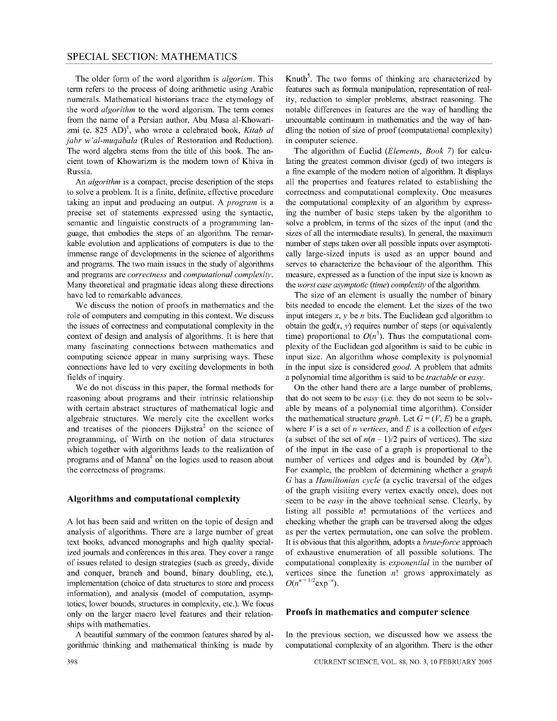The older form of the word algorithm is *algorism.* This term refers to the process of doing arithmetic using Arabic numerals. Mathematical historians trace the etymology of the word *algorithm* to the word algorism. The term comes from the name of a Persian author, Abu Musa al-Khowarizmi (c. 825 AD)<sup>1</sup>, who wrote a celebrated book, *Kitab al jabr* w' *al-muqabala* (Rules of Restoration and Reduction). The word algebra stems from the title of this book. The ancient town of Khowarizm is the modem town of Khiva in Russia.

An *algorithm* is a compact, precise description of the steps to solve a problem. It is a finite, definite, effective procedure taking an input and producing an output. A *program* is a precise set of statements expressed using the syntactic, semantic and linguistic constructs of a programming language, that embodies the steps of an algorithm. The remarkable evolution and applications of computers is due to the immense range of developments in the science of algorithms and programs. The two main issues in the study of algorithms and programs are *correctness* and *computational complexity.*  Many theoretical and pragmatic ideas along these directions have led to remarkable advances.

We discuss the notion of proofs in mathematics and the role of computers and computing in this context. We discuss the issues of correctness and computational complexity in the context of design and analysis of algorithms. It is here that many fascinating connections between mathematics and computing science appear in many surprising ways. These connections have led to very exciting developments in both fields of inquiry.

We do not discuss in this paper, the formal methods for reasoning about programs and their intrinsic relationship with certain abstract structures of mathematical logic and algebraic structures. We merely cite the excellent works and treatises of the pioneers  $Dijkstra<sup>2</sup>$  on the science of programming, of Wirth on the notion of data structures which together with algorithms leads to the realization of programs and of Manna<sup>4</sup> on the logics used to reason about the correctness of programs.

#### **Algorithms and computational complexity**

A lot has been said and written on the topic of design and analysis of algorithms. There are a large number of great text books, advanced monographs and high quality specialized journals and conferences in this area. They cover a range of issues related to design strategies (such as greedy, divide and conquer, branch and bound, binary doubling, etc.), implementation (choice of data structures to store and process information), and analysis (model of computation, asymptotics, lower bounds, structures in complexity, etc.). We focus only on the larger macro level features and their relationships with mathematics.

A beautiful summary of the common features shared by algorithmic thinking and mathematical thinking is made by

Knuth<sup>5</sup>. The two forms of thinking are characterized by features such as formula manipulation, representation of reality, reduction to simpler problems, abstract reasoning. The notable differences in features are the way of handling the uncountable continuum in mathematics and the way of handling the notion of size of proof (computational complexity) in computer science.

The algorithm of Euclid *(Elements, Book* 7) for calculating the greatest common divisor (gcd) of two integers is a fine example of the modem notion of algorithm. It displays all the properties and features related to establishing the correctness and computational complexity. One measures the computational complexity of an algorithm by expressing the number of basic steps taken by the algorithm to solve a problem, in terms of the sizes of the input (and the sizes of all the intermediate results). In general, the maximum number of steps taken over all possible inputs over asymptotically large-sized inputs is used as an upper bound and serves to characterize the behaviour of the algorithm. This measure, expressed as a function of the input size is known as the *worst case asymptotic (time) complexity* of the algorithm.

The size of an element is usually the number of binary bits needed to encode the element. Let the sizes of the two input integers  $x$ ,  $y$  be  $n$  bits. The Euclidean gcd algorithm to obtain the  $gcd(x, y)$  requires number of steps (or equivalently time) proportional to  $O(n^3)$ . Thus the computational complexity of the Euclidean gcd algorithm is said to be cubic in input size. An algorithm whose complexity is polynomial in the input size is considered *good.* A problem that admits a polynomial time algorithm is said to be *tractable* or *easy.* 

On the other hand there are a large number of problems, that do not seem to be *easy* (i.e. they do not seem to be solvable by means of a polynomial time algorithm). Consider the mathematical structure *graph*. Let  $G = (V, E)$  be a graph, where *V* is a set of *n vertices,* and *E* is a collection of *edges*  (a subset of the set of  $n(n-1)/2$  pairs of vertices). The size of the input in the case of a graph is proportional to the number of vertices and edges and is bounded by  $O(n^2)$ . For example, the problem of determining whether a *graph*  G has a *Hamiltonian cycle* (a cyclic traversal of the edges of the graph visiting every vertex exactly once), does not seem to be *easy* in the above technical sense. Clearly, by listing all possible *n!* permutations of the vertices and checking whether the graph can be traversed along the edges as per the vertex permutation, one can solve the problem. It is obvious that this algorithm, adopts a *brute-force* approach of exhaustive enumeration of all possible solutions. The computational complexity is *exponential* in the number of vertices since the function *n!* grows approximately as  $O(n^{n+1/2} \exp^{-n}).$ 

### **Proofs in mathematics and computer science**

In the previous section, we discussed how we assess the computational complexity of an algorithm. There is the other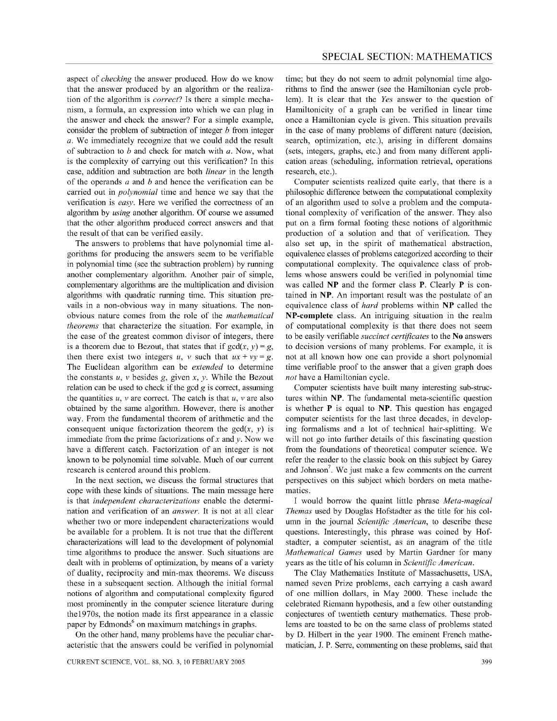aspect of *checking* the answer produced. How do we know that the answer produced by an algorithm or the realization of the algorithm is *correct?* Is there a simple mechanism, a formula, an expression into which we can plug in the answer and check the answer? For a simple example, consider the problem of subtraction of integer *b* from integer *a.* We immediately recognize that we could add the result of subtraction to *b* and check for match with *a.* Now, what is the complexity of carrying out this verification? In this case, addition and subtraction are both *linear* in the length of the operands *a* and *b* and hence the verification can be carried out in *polynomial* time and hence we say that the verification is *easy.* Here we verified the correctness of an algorithm by *using* another algorithm. Of course we assumed that the other algorithm produced correct answers and that the result of that can be verified easily.

The answers to problems that have polynomial time algorithms for producing the answers seem to be verifiable in polynomial time (see the subtraction problem) by running another complementary algorithm. Another pair of simple, complementary algorithms are the multiplication and division algorithms with quadratic running time. This situation prevails in a non-obvious way in many situations. The nonobvious nature comes from the role of the *mathematical theorems* that characterize the situation. For example, in the case of the greatest common divisor of integers, there is a theorem due to Bezout, that states that if  $gcd(x, y) = g$ , then there exist two integers *u*, *v* such that  $ux + vy = g$ . The Euclidean algorithm can be *extended* to determine the constants *u, v* besides *g,* given x, *y.* While the Bezout relation can be used to check if the gcd  $g$  is correct, assuming the quantities  $u$ ,  $v$  are correct. The catch is that  $u$ ,  $v$  are also obtained by the same algorithm. However, there is another way. From the fundamental theorem of arithmetic and the consequent unique factorization theorem the  $gcd(x, y)$  is immediate from the prime factorizations of x and y. Now we have a different catch. Factorization of an integer is not known to be polynomial time solvable. Much of our current research is centered around this problem.

In the next section, we discuss the formal structures that cope with these kinds of situations. The main message here is that *independent characterizations* enable the determination and verification of an *answer.* It is not at all clear whether two or more independent characterizations would be available for a problem. It is not true that the different characterizations will lead to the development of polynomial time algorithms to produce the answer. Such situations are dealt with in problems of optimization, by means of a variety of duality, reciprocity and min-max theorems. We discuss these in a subsequent section. Although the initial formal notions of algorithm and computational complexity figured most prominently in the computer science literature during the1970s, the notion made its first appearance in a classic paper by Edmonds<sup>6</sup> on maximum matchings in graphs.

On the other hand, many problems have the peculiar characteristic that the answers could be verified in polynomial

time; but they do not seem to admit polynomial time algorithms to find the answer (see the Hamiltonian cycle problem). It is clear that the *Yes* answer to the question of Hamiltonicity of a graph can be verified in linear time once a Hamiltonian cycle is given. This situation prevails in the case of many problems of different nature (decision, search, optimization, etc.), arising in different domains (sets, integers, graphs, etc.) and from many different application areas (scheduling, information retrieval, operations research, etc.).

Computer scientists realized quite early, that there is a philosophic difference between the computational complexity of an algorithm used to solve a problem and the computational complexity of verification of the answer. They also put on a firm formal footing these notions of algorithmic production of a solution and that of verification. They also set up, in the spirit of mathematical abstraction, equivalence classes of problems categorized according to their computational complexity. The equivalence class of problems whose answers could be verified in polynomial time was called **NP** and the former class P. Clearly P is contained in NP. An important result was the postulate of an equivalence class of *hard* problems within **NP** called the NP-complete class. An intriguing situation in the realm of computational complexity is that there does not seem to be easily verifiable *succinct certificates* to the No answers to decision versions of many problems. For example, it is not at all known how one can provide a short polynomial time verifiable proof to the answer that a given graph does *not* have a Hamiltonian cycle.

Computer scientists have built many interesting sub-structures within NP. The fundamental meta-scientific question is whether P is equal to NP. This question has engaged computer scientists for the last three decades, in developing formalisms and a lot of technical hair-splitting. We will not go into further details of this fascinating question from the foundations of theoretical computer science. We refer the reader to the classic book on this subject by Garey and Johnson<sup>7</sup>. We just make a few comments on the current perspectives on this subject which borders on meta mathematics.

I would borrow the quaint little phrase *Meta-magical Themas* used by Douglas Hofstadter as the title for his column in the journal *Scientific American,* to describe these questions. Interestingly, this phrase was coined by Hofstadter, a computer scientist, as an anagram of the title *Mathematical Games* used by Martin Gardner for many years as the title of his column in *Scientific American.* 

The Clay Mathematics Institute of Massachusetts, USA, named seven Prize problems, each carrying a cash award of one million dollars, in May 2000. These include the celebrated Riemann hypothesis, and a few other outstanding conjectures of twentieth century mathematics. These problems are toasted to be on the same class of problems stated by D. Hilbert in the year 1900. The eminent French mathematician, J. P. Serre, commenting on these problems, said that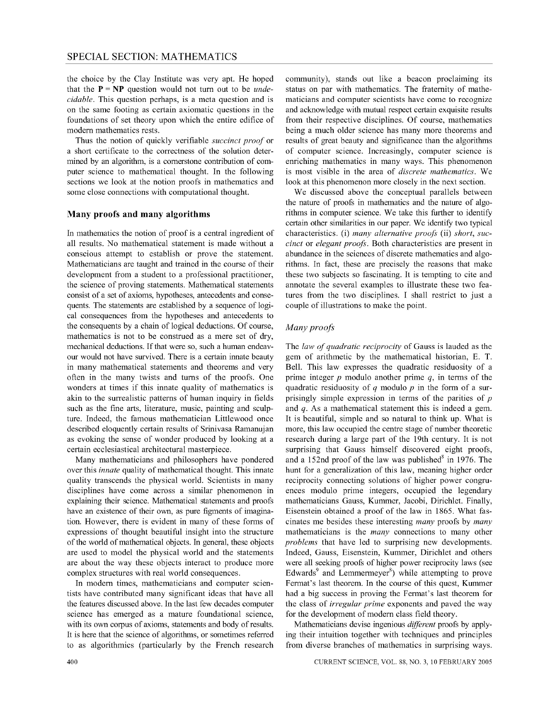the choice by the Clay Institute was very apt. He hoped that the  $P = NP$  question would not turn out to be *undecidable.* This question perhaps, is a meta question and is on the same footing as certain axiomatic questions in the foundations of set theory upon which the entire edifice of modem mathematics rests.

Thus the notion of quickly verifiable *succinct proof* or a short certificate to the correctness of the solution determined by an algorithm, is a comerstone contribution of computer science to mathematical thought. In the following sections we look at the notion proofs in mathematics and some close connections with computational thought.

# **Many proofs and many algorithms**

In mathematics the notion of proof is a central ingredient of all results. No mathematical statement is made without a conscious attempt to establish or prove the statement. Mathematicians are taught and trained in the course of their development from a student to a professional practitioner, the science of proving statements. Mathematical statements consist of a set of axioms, hypotheses, antecedents and consequents. The statements are established by a sequence of logical consequences from the hypotheses and antecedents to the consequents by a chain of logical deductions. Of course, mathematics is not to be construed as a mere set of dry, mechanical deductions. If that were so, such a human endeavour would not have survived. There is a certain innate beauty in many mathematical statements and theorems and very often in the many twists and turns of the proofs. One wonders at times if this innate quality of mathematics is akin to the surrealistic patterns of human inquiry in fields such as the fine arts, literature, music, painting and sculpture. Indeed, the famous mathematician Littlewood once described eloquently certain results of Srinivasa Ramanujan as evoking the sense of wonder produced by looking at a certain ecclesiastical architectural masterpiece.

Many mathematicians and philosophers have pondered over this *innate* quality of mathematical thought. This innate quality transcends the physical world. Scientists in many disciplines have come across a similar phenomenon in explaining their science. Mathematical statements and proofs have an existence of their own, as pure figments of imagination. However, there is evident in many of these forms of expressions of thought beautiful insight into the structure of the world of mathematical objects. In general, these objects are used to model the physical world and the statements are about the way these objects interact to produce more complex structures with real world consequences.

In modem times, mathematicians and computer scientists have contributed many significant ideas that have all the features discussed above. In the last few decades computer science has emerged as a mature foundational science, with its own corpus of axioms, statements and body of results. It is here that the science of algorithms, or sometimes referred to as algorithmics (particularly by the French research

community), stands out like a beacon proclaiming its status on par with mathematics. The fraternity of mathematicians and computer scientists have come to recognize and acknowledge with mutual respect certain exquisite results from their respective disciplines. Of course, mathematics being a much older science has many more theorems and results of great beauty and significance than the algorithms of computer science. Increasingly, computer science is enriching mathematics in many ways. This phenomenon is most visible in the area of *discrete mathematics* . We look at this phenomenon more closely in the next section.

We discussed above the conceptual parallels between the nature of proofs in mathematics and the nature of algorithms in computer science. We take this further to identify certain other similarities in our paper. We identify two typical characteristics. (i) *many alternative proofs* (ii) *short, succinct* or *elegant proofs.* Both characteristics are present in abundance in the sciences of discrete mathematics and algorithms. In fact, these are precisely the reasons that make these two subjects so fascinating. It is tempting to cite and annotate the several examples to illustrate these two features from the two disciplines. I shall restrict to just a couple of illustrations to make the point.

# *Many proofs*

The *law of quadratic reciprocity* of Gauss is lauded as the gem of arithmetic by the mathematical historian, E. T. Bell. This law expresses the quadratic residuosity of a prime integer *p* modulo another prime *q,* in terms of the quadratic residuosity of *q* modulo *p* in the form of a surprisingly simple expression in terms of the parities of *p*  and *q.* As a mathematical statement this is indeed a gem. It is beautiful, simple and so natural to think up. What is more, this law occupied the centre stage of number theoretic research during a large part of the 19th century. It is not surprising that Gauss himself discovered eight proofs, and a 152nd proof of the law was published<sup>8</sup> in 1976. The hunt for a generalization of this law, meaning higher order reciprocity connecting solutions of higher power congruences modulo prime integers, occupied the legendary mathematicians Gauss, Kummer, Jacobi, Dirichlet. Finally, Eisenstein obtained a proof of the law in 1865. What fascinates me besides these interesting *many* proofs by *many*  mathematicians is the *many* connections to many other *problems* that have led to surprising new developments. Indeed, Gauss, Eisenstein, Kummer, Dirichlet and others were all seeking proofs of higher power reciprocity laws (see Edwards<sup>9</sup> and Lemmermeyer<sup>8</sup>) while attempting to prove Fermat's last theorem. In the course of this quest, Kummer had a big success in proving the Fermat's last theorem for the class of *irregular prime* exponents and paved the way for the development of modem class field theory.

Mathematicians devise ingenious *different* proofs by applying their intuition together with techniques and principles from diverse branches of mathematics in surprising ways.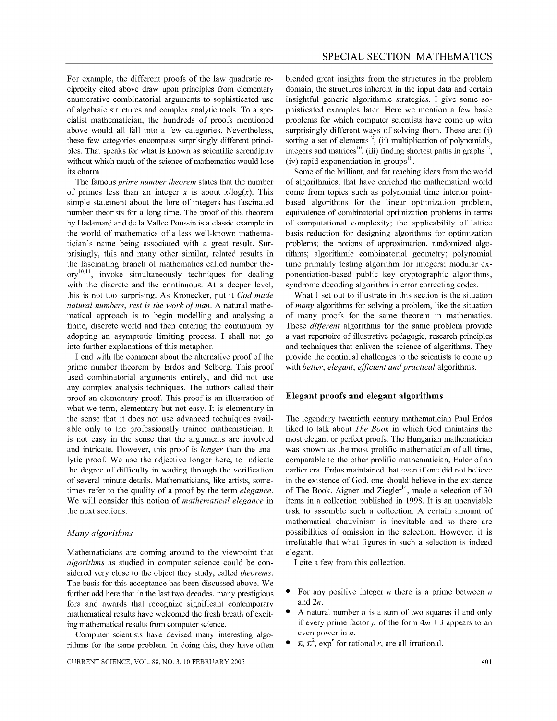For example, the different proofs of the law quadratic reciprocity cited above draw upon principles from elementary enumerative combinatorial arguments to sophisticated use of algebraic structures and complex analytic tools. To a specialist mathematician, the hundreds of proofs mentioned above would all fall into a few categories. Nevertheless, these few categories encompass surprisingly different principles. That speaks for what is known as scientific serendipity without which much of the science of mathematics would lose its charm.

The famous *prime number theorem* states that the number of primes less than an integer x is about  $x/\log(x)$ . This simple statement about the lore of integers has fascinated number theorists for a long time. The proof of this theorem by Hadamard and de la Vallee Poussin is a classic example in the world of mathematics of a less well-known mathematician's name being associated with a great result. Surprisingly, this and many other similar, related results in the fascinating branch of mathematics called number the- $\text{or} \mathbf{v}^{10,11}$ , invoke simultaneously techniques for dealing with the discrete and the continuous. At a deeper level, this is not too surprising. As Kronecker, put it *God made natural numbers, rest is the work of man.* A natural mathematical approach is to begin modelling and analysing a finite, discrete world and then entering the continuum by adopting an asymptotic limiting process. I shall not go into further explanations of this metaphor.

I end with the comment about the alternative proof of the prime number theorem by Erdos and Selberg. This proof used combinatorial arguments entirely, and did not use any complex analysis techniques. The authors called their proof an elementary proof. This proof is an illustration of what we term, elementary but not easy. It is elementary in the sense that it does not use advanced techniques available only to the professionally trained mathematician. It is not easy in the sense that the arguments are involved and intricate. However, this proof is *longer* than the analytic proof. We use the adjective longer here, to indicate the degree of difficulty in wading through the verification of several minute details. Mathematicians, like artists, sometimes refer to the quality of a proof by the term *elegance.*  We will consider this notion of *mathematical elegance* in the next sections.

#### *Many algorithms*

Mathematicians are coming around to the viewpoint that *algorithms* as studied in computer science could be considered very close to the object they study, called *theorems.*  The basis for this acceptance has been discussed above. We further add here that in the last two decades, many prestigious fora and awards that recognize significant contemporary mathematical results have welcomed the fresh breath of exciting mathematical results from computer science.

Computer scientists have devised many interesting algorithms for the same problem. In doing this, they have often

CURRENT SCIENCE, VOL. 88, NO.3, 10 FEBRUARY 2005

blended great insights from the structures in the problem domain, the structures inherent in the input data and certain insightful generic algorithmic strategies. I give some sophisticated examples later. Here we mention a few basic problems for which computer scientists have come up with surprisingly different ways of solving them. These are: (i) sorting a set of elements<sup>12</sup>, (ii) multiplication of polynomials, integers and matrices<sup>10</sup>, (iii) finding shortest paths in graphs<sup>13</sup> (iv) rapid exponentiation in groups<sup>10</sup>

Some of the brilliant, and far reaching ideas from the world of algorithmics, that have enriched the mathematical world come from topics such as polynomial time interior pointbased algorithms for the linear optimization problem, equivalence of combinatorial optimization problems in terms of computational complexity; the applicability of lattice basis reduction for designing algorithms for optimization problems; the notions of approximation, randomized algorithms; algorithmic combinatorial geometry; polynomial time primality testing algorithm for integers; modular exponentiation-based public key cryptographic algorithms, syndrome decoding algorithm in error correcting codes.

What I set out to illustrate in this section is the situation of *many* algorithms for solving a problem, like the situation of many proofs for the same theorem in mathematics. These *different* algorithms for the same problem provide a vast repertoire of illustrative pedagogic, research principles and techniques that enliven the science of algorithms. They provide the continual challenges to the scientists to come up with *better, elegant, efficient and practical* algorithms.

## **Elegant proofs and elegant algorithms**

The legendary twentieth century mathematician Paul Erdos liked to talk about *The Book* in which God maintains the most elegant or perfect proofs. The Hungarian mathematician was known as the most prolific mathematician of all time, comparable to the other prolific mathematician, Euler of an earlier era. Erdos maintained that even if one did not believe in the existence of God, one should believe in the existence of The Book. Aigner and Ziegler<sup>14</sup>, made a selection of 30 items in a collection published in 1998. It is an unenviable task to assemble such a collection. A certain amount of mathematical chauvinism is inevitable and so there are possibilities of omission in the selection. However, it is irrefutable that what figures in such a selection is indeed elegant.

I cite a few from this collection.

- For any positive integer *n* there is a prime between *n*  and *2n.*
- A natural number *n* is a sum of two squares if and only if every prime factor  $p$  of the form  $4m + 3$  appears to an even power in *n.*
- $\pi$ ,  $\pi^2$ , exp<sup>r</sup> for rational *r*, are all irrational.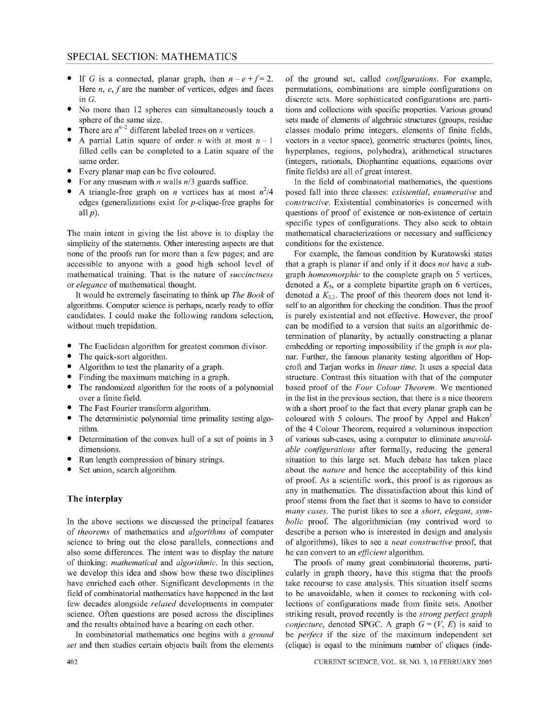- If G is a connected, planar graph, then  $n e + f = 2$ . Here *n, e, f* are the number of vertices, edges and faces in G.
- No more than 12 spheres can simultaneously touch a sphere of the same size.
- There are  $n^{n-2}$  different labeled trees on *n* vertices.
- A partial Latin square of order *n* with at most  $n-1$ filled cells can be completed to a Latin square of the same order.
- Every planar map can be five coloured.
- For any museum with *n* walls *n/3* guards suffice.
- A triangle-free graph on *n* vertices has at most  $n^2/4$ edges (generalizations exist for  $p$ -clique-free graphs for all *p).*

The main intent in giving the list above is to display the simplicity of the statements. Other interesting aspects are that none of the proofs run for more than a few pages; and are accessible to anyone with a good high school level of mathematical training. That is the nature of *succinctness*  or *elegance* of mathematical thought.

It would be extremely fascinating to think up *The Book* of algorithms. Computer science is perhaps, nearly ready to offer candidates. I could make the following random selection, without much trepidation.

- The Euclidean algorithm for greatest common divisor.
- The quick-sort algorithm.
- Algorithm to test the planarity of a graph.
- Finding the maximum matching in a graph.
- The randomized algorithm for the roots of a polynomial over a finite field.
- The Fast Fourier transform algorithm.
- The deterministic polynomial time primality testing algorithm.
- Determination of the convex hull of a set of points in 3 dimensions.
- Run length compression of binary strings.
- Set union, search algorithm.

### **The interplay**

In the above sections we discussed the principal features of *theorems* of mathematics and *algorithms* of computer science to bring out the close parallels, connections and also some differences. The intent was to display the nature of thinking: *mathematical* and *algorithmic.* In this section, we develop this idea and show how these two disciplines have enriched each other. Significant developments in the field of combinatorial mathematics have happened in the last few decades alongside *related* developments in computer science. Often questions are posed across the disciplines and the results obtained have a bearing on each other.

In combinatorial mathematics one begins with a *ground set* and then studies certain objects built from the elements

of the ground set, called *configurations.* For example, permutations, combinations are simple configurations on discrete sets. More sophisticated configurations are partitions and collections with specific properties. Various ground sets made of elements of algebraic structures (groups, residue classes modulo prime integers, elements of finite fields, vectors in a vector space), geometric structures (points, lines, hyperplanes, regions, polyhedra), arithmetical structures (integers, rationals, Diophantine equations, equations over finite fields) are all of great interest.

In the field of combinatorial mathematics, the questions posed fall into three classes: *existential, enumerative* and *constructive.* Existential combinatorics is concerned with questions of proof of existence or non-existence of certain specific types of configurations. They also seek to obtain mathematical characterizations or necessary and sufficiency conditions for the existence.

For example, the famous condition by Kuratowski states that a graph is planar if and only if it does *not* have a subgraph *homeomorphic* to the complete graph on 5 vertices, denoted a K*s,* or a complete bipartite graph on 6 vertices, denoted a  $K_{3,3}$ . The proof of this theorem does not lend itself to an algorithm for checking the condition. Thus the proof is purely existential and not effective. However, the proof can be modified to a version that suits an algorithmic determination of planarity, by actually constructing a planar embedding or reporting impossibility if the graph is *not* planar. Further, the famous planarity testing algorithm of Hopcroft and Tarjan works in *linear time*. It uses a special data structure. Contrast this situation with that of the computer based proof of the *Four Colour Theorem.* We mentioned in the list in the previous section, that there is a nice theorem with a short proof to the fact that every planar graph can be coloured with 5 colours. The proof by Appel and Haken<sup>3</sup> of the 4 Colour Theorem, required a voluminous inspection of various sub-cases, using a computer to eliminate *unavoidable configurations* after formally, reducing the general situation to this large set. Much debate has taken place about the *nature* and hence the acceptability of this kind of proof. As a scientific work, this proof is as rigorous as any in mathematics. The dissatisfaction about this kind of proof stems from the fact that it seems to have to consider *many cases.* The purist likes to see a *short, elegant, symbolic* proof. The algorithmician (my contrived word to describe a person who is interested in design and analysis of algorithms), likes to see a *neat constructive* proof, that he can convert to an *efficient* algorithm.

The proofs of many great combinatorial theorems, particularly in graph theory, have this stigma that the proofs take recourse to case analysis. This situation itself seems to be unavoidable, when it comes to reckoning with collections of configurations made from finite sets. Another striking result, proved recently is the *strong perfect graph conjecture, denoted SPGC. A graph*  $G = (V, E)$  *is said to* be *perfect* if the size of the maximum independent set (clique) is equal to the minimum number of cliques (inde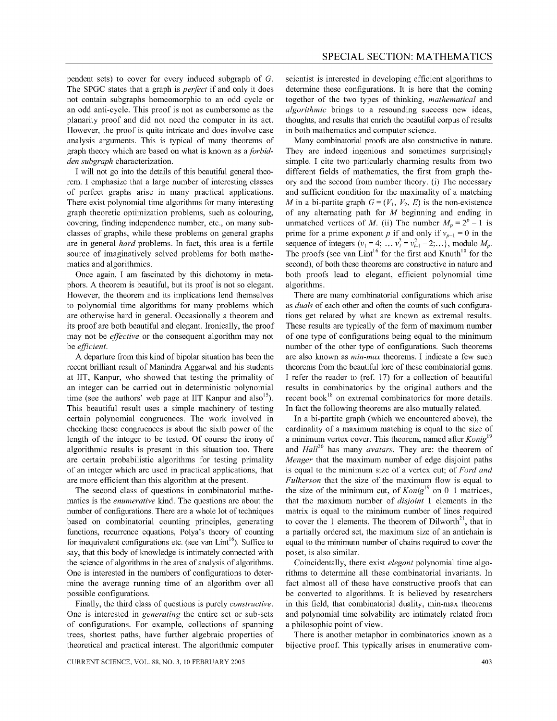pendent sets) to cover for every induced subgraph of G. The SPGC states that a graph is *perfect* if and only it does not contain subgraphs homeomorphic to an odd cycle or an odd anti-cycle. This proof is not as cumbersome as the planarity proof and did not need the computer in its act. However, the proof is quite intricate and does involve case analysis arguments. This is typical of many theorems of graph theory which are based on what is known as a *forbidden subgraph* characterization.

I will not go into the details of this beautiful general theorem. I emphasize that a large number of interesting classes of perfect graphs arise in many practical applications. There exist polynomial time algorithms for many interesting graph theoretic optimization problems, such as colouring, covering, finding independence number, etc., on many subclasses of graphs, while these problems on general graphs are in general *hard* problems. In fact, this area is a fertile source of imaginatively solved problems for both mathematics and algorithmics.

Once again, I am fascinated by this dichotomy in metaphors. A theorem is beautiful, but its proof is not so elegant. However, the theorem and its implications lend themselves to polynomial time algorithms for many problems which are otherwise hard in general. Occasionally a theorem and its proof are both beautiful and elegant. Ironically, the proof may not be *effective* or the consequent algorithm may not be *efficient.* 

A departure from this kind of bipolar situation has been the recent brilliant result of Manindra Aggarwal and his students at lIT, Kanpur, who showed that testing the primality of an integer can be carried out in deterministic polynomial time (see the authors' web page at IIT Kanpur and also<sup>15</sup>). This beautiful result uses a simple machinery of testing certain polynomial congruences. The work involved in checking these congruences is about the sixth power of the length of the integer to be tested. Of course the irony of algorithmic results is present in this situation too. There are certain probabilistic algorithms for testing primality of an integer which are used in practical applications, that are more efficient than this algorithm at the present.

The second class of questions in combinatorial mathematics is the *enumerative* kind. The questions are about the number of configurations. There are a whole lot of techniques based on combinatorial counting principles, generating functions, recurrence equations, Polya's theory of counting for inequivalent configurations etc. (see van Lint<sup>16</sup>). Suffice to say, that this body of knowledge is intimately connected with the science of algorithms in the area of analysis of algorithms. One is interested in the numbers of configurations to determine the average running time of an algorithm over all possible configurations.

Finally, the third class of questions is purely *constructive.*  One is interested in *generating* the entire set or sub-sets of configurations. For example, collections of spanning trees, shortest paths, have further algebraic properties of theoretical and practical interest. The algorithmic computer

scientist is interested in developing efficient algorithms to determine these configurations. It is here that the coming together of the two types of thinking, *mathematical* and *algorithmic* brings to a resounding success new ideas, thoughts, and results that enrich the beautiful corpus of results in both mathematics and computer science.

Many combinatorial proofs are also constructive in nature. They are indeed ingenious and sometimes surprisingly simple. I cite two particularly charming results from two different fields of mathematics, the first from graph theory and the second from number theory. (i) The necessary and sufficient condition for the maximality of a matching *M* in a bi-partite graph  $G = (V_1, V_2, E)$  is the non-existence of any alternating path for *M* beginning and ending in unmatched vertices of *M*. (ii) The number  $M_p = 2^p - 1$  is prime for a prime exponent *p* if and only if  $v_{p-1} = 0$  in the sequence of integers  $(v_1 = 4; \ldots v_i^2 = v_{i-1}^2 - 2; \ldots)$ , modulo  $M_p$ . The proofs (see van Lint<sup>16</sup> for the first and Knuth<sup>10</sup> for the second), of both these theorems are constructive in nature and both proofs lead to elegant, efficient polynomial time algorithms.

There are many combinatorial configurations which arise as *duals* of each other and often the counts of such configurations get related by what are known as extremal results. These results are typically of the form of maximum number of one type of configurations being equal to the minimum number of the other type of configurations. Such theorems are also known as *min-max* theorems. I indicate a few such theorems from the beautiful lore of these combinatorial gems. I refer the reader to (ref. 17) for a collection of beautiful results in combinatorics by the original authors and the recent book<sup>18</sup> on extremal combinatorics for more details. In fact the following theorems are also mutually related.

In a bi-partite graph (which we encountered above), the cardinality of a maximum matching is equal to the size of a minimum vertex cover. This theorem, named after *Konig*l9 and *HaU<sup>20</sup>*has many *avatars.* They are: the theorem of *Menger* that the maximum number of edge disjoint paths is equal to the minimum size of a vertex cut; of *Ford and Fulkerson* that the size of the maximum flow is equal to the size of the minimum cut, of *Konig*<sup>19</sup> on 0-1 matrices, that the maximum number of *disjoint* 1 elements in the matrix is equal to the minimum number of lines required to cover the 1 elements. The theorem of  $Dilworth<sup>21</sup>$ , that in a partially ordered set, the maximum size of an antichain is equal to the minimum number of chains required to cover the poset, is also similar.

Coincidentally, there exist *elegant* polynomial time algorithms to determine all these combinatorial invariants. In fact almost all of these have constructive proofs that can be converted to algorithms. It is believed by researchers in this field, that combinatorial duality, min-max theorems and polynomial time solvability are intimately related from a philosophic point of view.

There is another metaphor in combinatorics known as a bijective proof. This typically arises in enumerative com